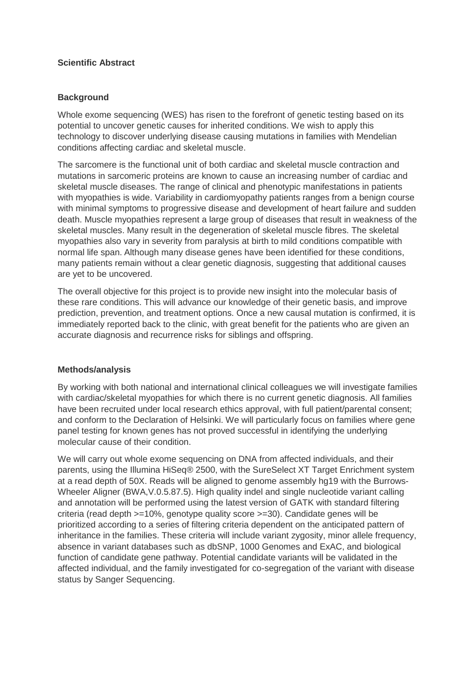# **Scientific Abstract**

# **Background**

Whole exome sequencing (WES) has risen to the forefront of genetic testing based on its potential to uncover genetic causes for inherited conditions. We wish to apply this technology to discover underlying disease causing mutations in families with Mendelian conditions affecting cardiac and skeletal muscle.

The sarcomere is the functional unit of both cardiac and skeletal muscle contraction and mutations in sarcomeric proteins are known to cause an increasing number of cardiac and skeletal muscle diseases. The range of clinical and phenotypic manifestations in patients with myopathies is wide. Variability in cardiomyopathy patients ranges from a benign course with minimal symptoms to progressive disease and development of heart failure and sudden death. Muscle myopathies represent a large group of diseases that result in weakness of the skeletal muscles. Many result in the degeneration of skeletal muscle fibres. The skeletal myopathies also vary in severity from paralysis at birth to mild conditions compatible with normal life span. Although many disease genes have been identified for these conditions, many patients remain without a clear genetic diagnosis, suggesting that additional causes are yet to be uncovered.

The overall objective for this project is to provide new insight into the molecular basis of these rare conditions. This will advance our knowledge of their genetic basis, and improve prediction, prevention, and treatment options. Once a new causal mutation is confirmed, it is immediately reported back to the clinic, with great benefit for the patients who are given an accurate diagnosis and recurrence risks for siblings and offspring.

### **Methods/analysis**

By working with both national and international clinical colleagues we will investigate families with cardiac/skeletal myopathies for which there is no current genetic diagnosis. All families have been recruited under local research ethics approval, with full patient/parental consent; and conform to the Declaration of Helsinki. We will particularly focus on families where gene panel testing for known genes has not proved successful in identifying the underlying molecular cause of their condition.

We will carry out whole exome sequencing on DNA from affected individuals, and their parents, using the Illumina HiSeq® 2500, with the SureSelect XT Target Enrichment system at a read depth of 50X. Reads will be aligned to genome assembly hg19 with the Burrows-Wheeler Aligner (BWA,V.0.5.87.5). High quality indel and single nucleotide variant calling and annotation will be performed using the latest version of GATK with standard filtering criteria (read depth >=10%, genotype quality score >=30). Candidate genes will be prioritized according to a series of filtering criteria dependent on the anticipated pattern of inheritance in the families. These criteria will include variant zygosity, minor allele frequency, absence in variant databases such as dbSNP, 1000 Genomes and ExAC, and biological function of candidate gene pathway. Potential candidate variants will be validated in the affected individual, and the family investigated for co-segregation of the variant with disease status by Sanger Sequencing.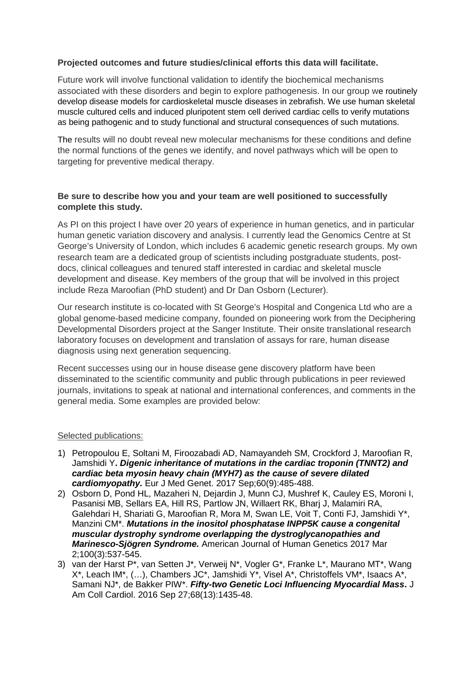# **Projected outcomes and future studies/clinical efforts this data will facilitate.**

Future work will involve functional validation to identify the biochemical mechanisms associated with these disorders and begin to explore pathogenesis. In our group we routinely develop disease models for cardioskeletal muscle diseases in zebrafish. We use human skeletal muscle cultured cells and induced pluripotent stem cell derived cardiac cells to verify mutations as being pathogenic and to study functional and structural consequences of such mutations.

The results will no doubt reveal new molecular mechanisms for these conditions and define the normal functions of the genes we identify, and novel pathways which will be open to targeting for preventive medical therapy.

# **Be sure to describe how you and your team are well positioned to successfully complete this study.**

As PI on this project I have over 20 years of experience in human genetics, and in particular human genetic variation discovery and analysis. I currently lead the Genomics Centre at St George's University of London, which includes 6 academic genetic research groups. My own research team are a dedicated group of scientists including postgraduate students, postdocs, clinical colleagues and tenured staff interested in cardiac and skeletal muscle development and disease. Key members of the group that will be involved in this project include Reza Maroofian (PhD student) and Dr Dan Osborn (Lecturer).

Our research institute is co-located with St George's Hospital and Congenica Ltd who are a global genome-based medicine company, founded on pioneering work from the Deciphering Developmental Disorders project at the Sanger Institute. Their onsite translational research laboratory focuses on development and translation of assays for rare, human disease diagnosis using next generation sequencing.

Recent successes using our in house disease gene discovery platform have been disseminated to the scientific community and public through publications in peer reviewed journals, invitations to speak at national and international conferences, and comments in the general media. Some examples are provided below:

### Selected publications:

- 1) Petropoulou E, Soltani M, Firoozabadi AD, Namayandeh SM, Crockford J, Maroofian R, Jamshidi Y**.** *Digenic inheritance of mutations in the cardiac troponin (TNNT2) and cardiac beta myosin heavy chain (MYH7) as the cause of severe dilated cardiomyopathy.* Eur J Med Genet. 2017 Sep;60(9):485-488.
- 2) Osborn D, Pond HL, Mazaheri N, Dejardin J, Munn CJ, Mushref K, Cauley ES, Moroni I, Pasanisi MB, Sellars EA, Hill RS, Partlow JN, Willaert RK, Bharj J, Malamiri RA, Galehdari H, Shariati G, Maroofian R, Mora M, Swan LE, Voit T, Conti FJ, Jamshidi Y\*, Manzini CM\*. *Mutations in the inositol phosphatase INPP5K cause a congenital muscular dystrophy syndrome overlapping the dystroglycanopathies and Marinesco-Sjögren Syndrome.* American Journal of Human Genetics 2017 Mar 2;100(3):537-545.
- 3) van der Harst P\*, van Setten J\*, Verweij N\*, Vogler G\*, Franke L\*, Maurano MT\*, Wang X\*, Leach IM\*, (…), Chambers JC\*, Jamshidi Y\*, Visel A\*, Christoffels VM\*, Isaacs A\*, Samani NJ\*, de Bakker PIW\*. *Fifty-two Genetic Loci Influencing Myocardial Mass***.** J Am Coll Cardiol. 2016 Sep 27;68(13):1435-48.